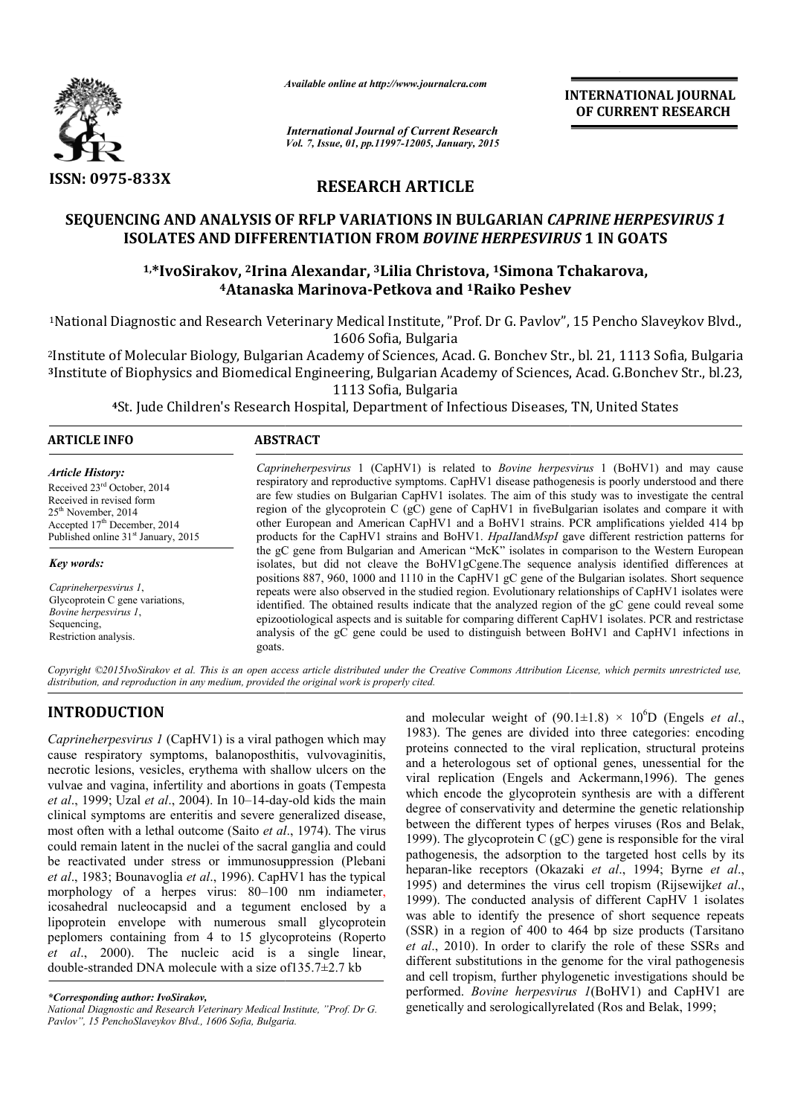

*Available online at http://www.journal http://www.journalcra.com*

**INTERNATIONAL JOURNAL OF CURRENT RESEARCH** 

*International Journal of Current Research Vol. 7, Issue, 01, pp.11997-12005, January, 2015*

# **RESEARCH ARTICLE**

## **SEQUENCING AND ANALYSIS OF RFLP VARIATIONS IN BULGARIAN**  *CAPRINE HERPESVIRUS 1*  **ISOLATES AND DIFFERENTIATION FROM**  *BOVINE HERPESVIRUS HERPESVIRUS* **1 IN GOATS**

## **1,\*IvoSirakov, 2Irina Alexandar, Irina 3Lilia Christova, 1Simona Tchakarova Simona Tchakarova, 4Atanaska Marinova Atanaska Marinova-Petkova and 1Raiko Peshev**

-1National Diagnostic and Research Veterinary Medical Institute, "Prof. Dr G. Pavlov", 15 Pencho Slaveykov Blvd<br>1606 Sofia, Bulgaria

<sup>2</sup>Institute of Molecular Biology, Bulgarian Academy of Sciences, Acad. G. Bonchev Str., bl. 21, 1113 Sofia, Bulgaria **<sup>3</sup>**Institute of Biophysics and Biomedical Engineering, Bulgarian Academy of Sciences, Acad. G. Institute of Molecular Biology, Bulgarian Academy of Sciences, Ac<br>Institute of Biophysics and Biomedical Engineering, Bulgarian Ac<br>1113 Sofia, Bulgaria Institute of Biophysics and Biomedical Engineering, Bulgarian Academy of Sciences, Acad. G.Bonchev Str., bl.23,

**<sup>4</sup>**St. Jude Children's Research Hospital, Department of Infectious Diseases, TN, United States Children's Research

| <b>ARTICLE INFO</b>                                                                                                                                                                                                                                                                                                                                        | <b>ABSTRACT</b>                                                                                                                                                                                                                                                                                                                                                                                                                                                                                                                                                                                                                                                                                                                     |  |  |  |  |
|------------------------------------------------------------------------------------------------------------------------------------------------------------------------------------------------------------------------------------------------------------------------------------------------------------------------------------------------------------|-------------------------------------------------------------------------------------------------------------------------------------------------------------------------------------------------------------------------------------------------------------------------------------------------------------------------------------------------------------------------------------------------------------------------------------------------------------------------------------------------------------------------------------------------------------------------------------------------------------------------------------------------------------------------------------------------------------------------------------|--|--|--|--|
| Article History:<br>Received 23 <sup>rd</sup> October, 2014<br>Received in revised form<br>$25th$ November, 2014<br>Accepted 17 <sup>th</sup> December, 2014<br>Published online 31 <sup>st</sup> January, 2015<br>Key words:<br>Caprineherpesvirus 1.<br>Glycoprotein C gene variations,<br>Bovine herpesvirus 1,<br>Sequencing,<br>Restriction analysis. | <i>Caprineherpesvirus</i> 1 (CapHV1) is related to <i>Bovine herpesvirus</i> 1 (BoHV1) and may cause<br>respiratory and reproductive symptoms. CapHV1 disease pathogenesis is poorly understood and there<br>are few studies on Bulgarian CapHV1 isolates. The aim of this study was to investigate the central<br>region of the glycoprotein C (gC) gene of CapHV1 in fiveBulgarian isolates and compare it with<br>other European and American CapHV1 and a BoHV1 strains. PCR amplifications yielded 414 bp<br>products for the CapHV1 strains and BoHV1. HpaIIandMspI gave different restriction patterns for                                                                                                                   |  |  |  |  |
|                                                                                                                                                                                                                                                                                                                                                            | the gC gene from Bulgarian and American "McK" isolates in comparison to the Western European<br>isolates, but did not cleave the BoHV1gCgene. The sequence analysis identified differences at<br>positions 887, 960, 1000 and 1110 in the CapHV1 gC gene of the Bulgarian isolates. Short sequence<br>repeats were also observed in the studied region. Evolutionary relationships of CapHV1 isolates were<br>identified. The obtained results indicate that the analyzed region of the gC gene could reveal some<br>epizootiological aspects and is suitable for comparing different CapHV1 isolates. PCR and restrictase<br>analysis of the gC gene could be used to distinguish between BoHV1 and CapHV1 infections in<br>goats. |  |  |  |  |

Copyright ©2015IvoSirakov et al. This is an open access article distributed under the Creative Commons Attribution License, which permits unrestricted use, *distribution, and reproduction in any medium, provided the original work is properly cited.*

# **INTRODUCTION**

*Caprineherpesvirus 1* (CapHV1) is a viral pathogen which may cause respiratory symptoms, balanoposthitis, vulvovaginitis, necrotic lesions, vesicles, erythema with shallow ulcers on the vulvae and vagina, infertility and abortions in goats (Tempesta *et al*., 1999; Uzal *et al*., 2004). In 10–14-day clinical symptoms are enteritis and severe generalized disease, most often with a lethal outcome (Saito *et al* ., 1974). The virus could remain latent in the nuclei of the sacral ganglia and could be reactivated under stress or immunosuppression (Plebani *et al*., 1983; Bounavoglia *et al*., 1996). CapHV1 has the typical morphology of a herpes virus: 80–100 nm indiameter, icosahedral nucleocapsid and a tegument enclosed by a lipoprotein envelope with numerous small glycoprotein peplomers containing from 4 to 15 glycoproteins (Roperto (Roperto *et al*., 2000). The nucleic acid is a single linear, double-stranded DNA molecule with a size of  $135.7\pm2.7$  kb , vesicles, erythema with shallow ulcers on the<br>ina, infertility and abortions in goats (Tempesta<br>al *et al.*, 2004). In 10–14-day-old kids the main

*\*Corresponding author: IvoSirakov,*

*National Diagnostic and Research Veterinary Medical Institute, "Prof. Dr G. Pavlov", 15 PenchoSlaveykov Blvd., 1606 Sofia, Bulgaria Bulgaria.*

and molecular weight of  $(90.1 \pm 1.8) \times 10^6$ D (Engels *et al.*, 1983). The genes are divided into three categories: encoding proteins connected to the viral replication, structural proteins and a heterologous set of optional genes, unessential for the viral replication (Engels and Ackermann,1996). The genes which encode the glycoprotein synthesis are with a different degree of conservativity and determine the genetic relationship between the different types of herpes viruses (Ros and Belak, 1999). The glycoprotein C (gC) gene is responsible for the viral pathogenesis, the adsorption to the targeted host cells by its heparan-like receptors (Okazaki et al., 1994; Byrne et al., 1995) and determines the virus cell tropism (Rijsewijk *et al*., 1999). The conducted analysis of different CapHV 1 isolates was able to identify the presence of short sequence repeats was able to identify the presence of short sequence repeats (SSR) in a region of 400 to 464 bp size products (Tarsitano *et al*., 2010). In order to clarify the role of these SSRs and different substitutions in the genome for the viral pathogenesis *et al.*, 2010). In order to clarify the role of these SSRs and different substitutions in the genome for the viral pathogenesis and cell tropism, further phylogenetic investigations should be performed. *Bovine herpesvirus herpesvirus 1*(BoHV1) and CapHV1 are genetically and serologicallyrelated (Ros and Belak, 1999; connected to the viral replication, structural proteins<br>tetrologous set of optional genes, unessential for the<br>plication (Engels and Ackermann,1996). The genes<br>ncode the glycoprotein synthesis are with a different<br>f conser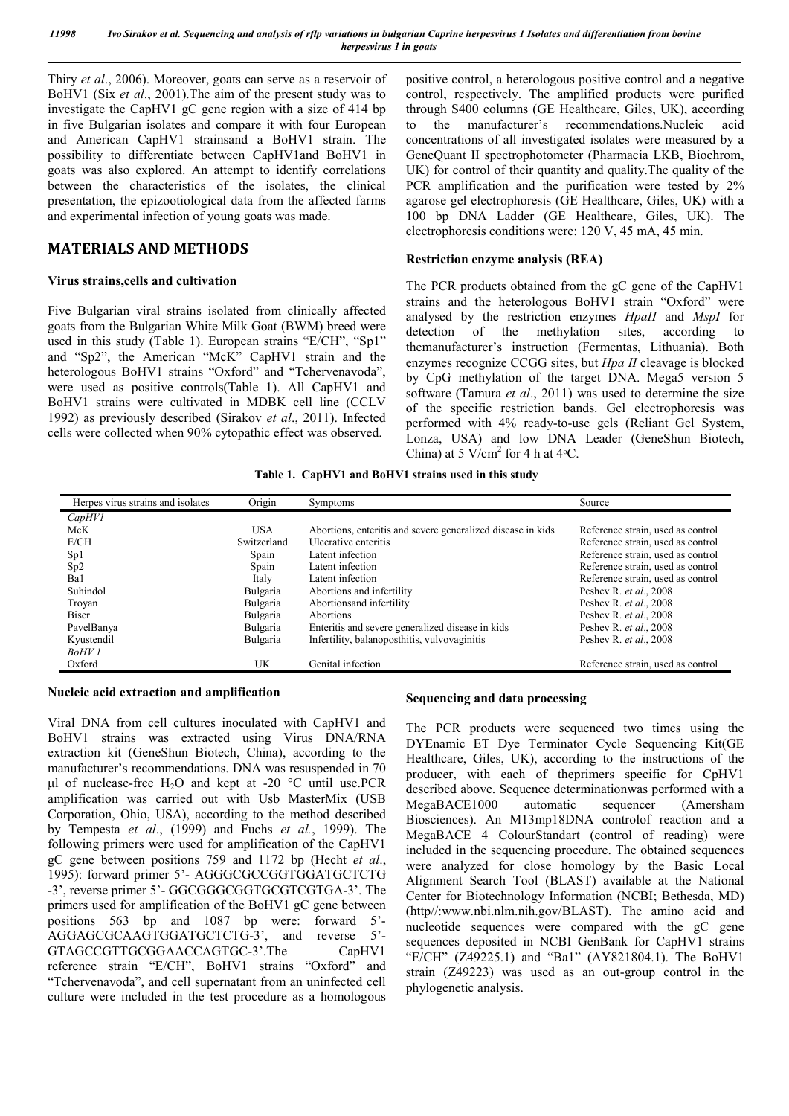Thiry *et al*., 2006). Moreover, goats can serve as a reservoir of BoHV1 (Six *et al*., 2001).Тhe aim of the present study was to investigate the CapHV1 gC gene region with a size of 414 bp in five Bulgarian isolates and compare it with four European and American CapHV1 strainsand a BoHV1 strain. The possibility to differentiate between CapHV1and BoHV1 in goats was also explored. An attempt to identify correlations between the characteristics of the isolates, the clinical presentation, the epizootiological data from the affected farms and experimental infection of young goats was made.

## **MATERIALS AND METHODS**

### **Virus strains,cells and cultivation**

Five Bulgarian viral strains isolated from clinically affected goats from the Bulgarian White Milk Goat (BWM) breed were used in this study (Table 1). European strains "E/CH", "Sp1" and "Sp2", the American "McK" CapHV1 strain and the heterologous BoHV1 strains "Oxford" and "Tchervenavoda", were used as positive controls(Table 1). All CapHV1 and BoHV1 strains were cultivated in MDBK cell line (CCLV 1992) as previously described (Sirakov *et al*., 2011). Infected cells were collected when 90% cytopathic effect was observed.

positive control, a heterologous positive control and a negative control, respectively. The amplified products were purified through S400 columns (GE Healthcare, Giles, UK), according to the manufacturer's recommendations.Nucleic acid concentrations of all investigated isolates were measured by a GeneQuant II spectrophotometer (Pharmacia LKB, Biochrom, UK) for control of their quantity and quality.The quality of the PCR amplification and the purification were tested by 2% agarose gel electrophoresis (GE Healthcare, Giles, UK) with a 100 bp DNA Ladder (GE Healthcare, Giles, UK). The electrophoresis conditions were: 120 V, 45 mA, 45 min.

#### **Restriction enzyme analysis (REA)**

The PCR products obtained from the gC gene of the CapHV1 strains and the heterologous BoHV1 strain "Oxford" were analysed by the restriction enzymes *HpaII* and *MspI* for detection of the methylation sites, according to themanufacturer's instruction (Fermentas, Lithuania). Both enzymes recognize CCGG sites, but *Hpa II* cleavage is blocked by CpG methylation of the target DNA. Mega5 version 5 software (Tamura *et al*., 2011) was used to determine the size of the specific restriction bands. Gel electrophoresis was performed with 4% ready-to-use gels (Reliant Gel System, Lonza, USA) and low DNA Leader (GeneShun Biotech, China) at 5 V/cm<sup>2</sup> for 4 h at  $4^{\circ}$ C.

|  |  | Table 1. CapHV1 and BoHV1 strains used in this study |
|--|--|------------------------------------------------------|
|  |  |                                                      |

| Herpes virus strains and isolates | Origin      | <b>Symptoms</b>                                             | Source                            |
|-----------------------------------|-------------|-------------------------------------------------------------|-----------------------------------|
| CapHVI                            |             |                                                             |                                   |
| McK                               | <b>USA</b>  | Abortions, enteritis and severe generalized disease in kids | Reference strain, used as control |
| E/CH                              | Switzerland | Ulcerative enteritis                                        | Reference strain, used as control |
| Sp1                               | Spain       | Latent infection                                            | Reference strain, used as control |
| Sp2                               | Spain       | Latent infection                                            | Reference strain, used as control |
| Ba1                               | Italy       | Latent infection                                            | Reference strain, used as control |
| Suhindol                          | Bulgaria    | Abortions and infertility                                   | Peshev R. et al., 2008            |
| Troyan                            | Bulgaria    | Abortions and infertility                                   | Peshev R. et al., 2008            |
| <b>Biser</b>                      | Bulgaria    | Abortions                                                   | Peshev R. et al., 2008            |
| PavelBanya                        | Bulgaria    | Enteritis and severe generalized disease in kids            | Peshev R. et al., 2008            |
| Kyustendil                        | Bulgaria    | Infertility, balanoposthitis, vulvovaginitis                | Peshev R. et al., 2008            |
| BoHV 1                            |             |                                                             |                                   |
| Oxford                            | UK          | Genital infection                                           | Reference strain, used as control |

#### **Nucleic acid extraction and amplification**

Viral DNA from cell cultures inoculated with CapHV1 and BoHV1 strains was extracted using Virus DNA/RNA extraction kit (GeneShun Biotech, China), according to the manufacturer's recommendations. DNA was resuspended in 70 μl of nuclease-free H<sub>2</sub>O and kept at -20 °C until use.PCR amplification was carried out with Usb MasterMix (USB Corporation, Ohio, USA), according to the method described by Tempesta *et al*., (1999) and Fuchs *et al.*, 1999). The following primers were used for amplification of the CapHV1 gC gene between positions 759 and 1172 bp (Hecht *et al*., 1995): forward primer 5'- AGGGCGCCGGTGGATGCTCTG -3', reverse primer 5'- GGCGGGCGGTGCGTCGTGA-3'. The primers used for amplification of the BoHV1 gC gene between positions 563 bp and 1087 bp were: forward 5'- AGGAGCGCAAGTGGATGCTCTG-3', and reverse 5'- GTAGCCGTTGCGGAACCAGTGC-3'.The CapHV1 reference strain "E/CH", BoHV1 strains "Oxford" and "Tchervenavoda", and cell supernatant from an uninfected cell culture were included in the test procedure as a homologous

### **Sequencing and data processing**

The PCR products were sequenced two times using the DYEnamic ET Dye Terminator Cycle Sequencing Kit(GE Healthcare, Giles, UK), according to the instructions of the producer, with each of theprimers specific for CpHV1 described above. Sequence determinationwas performed with a<br>MegaBACE1000 automatic sequencer (Amersham MegaBACE1000 automatic sequencer (Amersham Biosciences). An M13mp18DNA controlof reaction and a MegaBACE 4 ColourStandart (control of reading) were included in the sequencing procedure. The obtained sequences were analyzed for close homology by the Basic Local Alignment Search Tool (BLAST) available at the National Center for Biotechnology Information (NCBI; Bethesda, MD) (http//:www.nbi.nlm.nih.gov/BLAST). The amino acid and nucleotide sequences were compared with the gC gene sequences deposited in NCBI GenBank for CapHV1 strains "E/CH" (Z49225.1) and "Ba1" (AY821804.1). The BoHV1 strain (Z49223) was used as an out-group control in the phylogenetic analysis.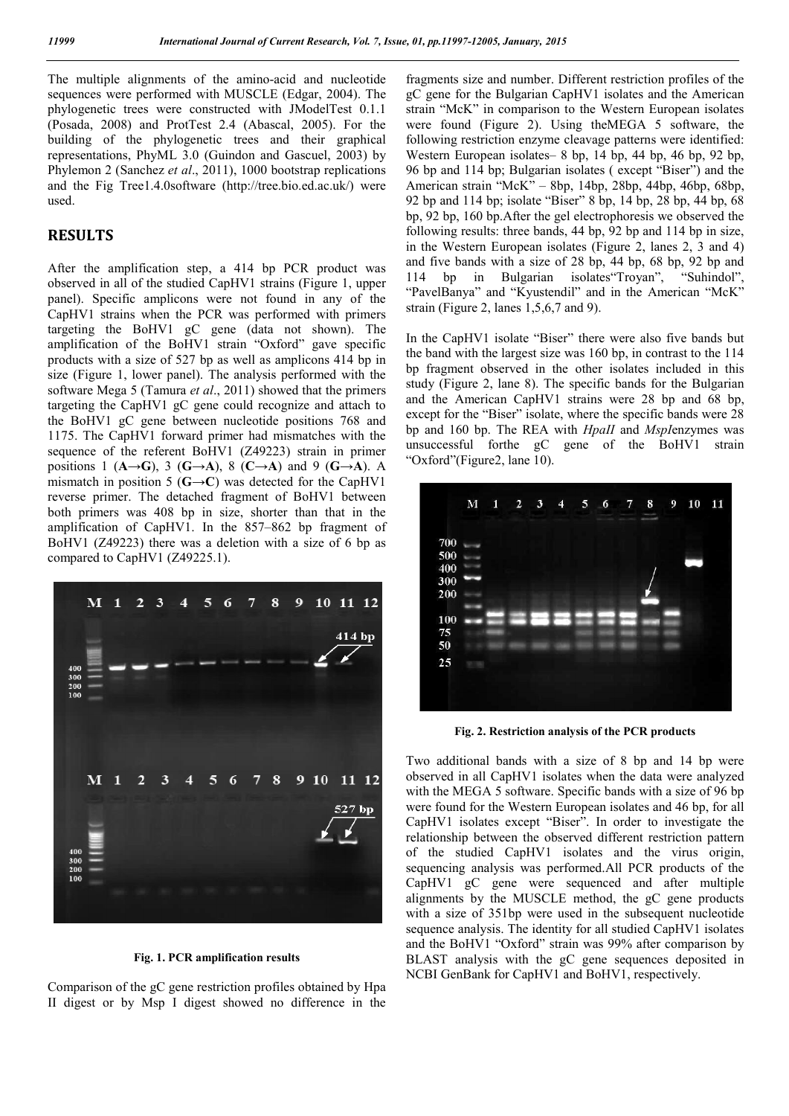The multiple alignments of the amino-acid and nucleotide sequences were performed with MUSCLE (Edgar, 2004). The phylogenetic trees were constructed with JModelTest 0.1.1 (Posada, 2008) and ProtTest 2.4 (Abascal, 2005). For the building of the phylogenetic trees and their graphical representations, PhyML 3.0 (Guindon and Gascuel, 2003) by Phylemon 2 (Sanchez *et al*., 2011), 1000 bootstrap replications and the Fig Tree1.4.0software (http://tree.bio.ed.ac.uk/) were used.

### **RESULTS**

After the amplification step, a 414 bp PCR product was observed in all of the studied CapHV1 strains (Figure 1, upper panel). Specific amplicons were not found in any of the CapHV1 strains when the PCR was performed with primers targeting the BoHV1 gC gene (data not shown). The amplification of the BoHV1 strain "Oxford" gave specific products with a size of 527 bp as well as amplicons 414 bp in size (Figure 1, lower panel). The analysis performed with the software Mega 5 (Tamura *et al*., 2011) showed that the primers targeting the CapHV1 gC gene could recognize and attach to the BoHV1 gC gene between nucleotide positions 768 and 1175. The CapHV1 forward primer had mismatches with the sequence of the referent BoHV1 (Z49223) strain in primer positions 1 (**A→G**), 3 (**G→A**), 8 (**C→A**) and 9 (**G→A**). A mismatch in position 5 (**G→C**) was detected for the CapHV1 reverse primer. The detached fragment of BoHV1 between both primers was 408 bp in size, shorter than that in the amplification of CapHV1. In the 857–862 bp fragment of BoHV1 (Z49223) there was a deletion with a size of 6 bp as compared to CapHV1 (Z49225.1).



#### **Fig. 1. PCR amplification results**

Comparison of the gC gene restriction profiles obtained by Hpa II digest or by Msp I digest showed no difference in the

fragments size and number. Different restriction profiles of the gC gene for the Bulgarian CapHV1 isolates and the American strain "McK" in comparison to the Western European isolates wеre found (Figure 2). Using theMEGA 5 software, the following restriction enzyme cleavage patterns were identified: Western European isolates– 8 bp, 14 bp, 44 bp, 46 bp, 92 bp, 96 bp and 114 bp; Bulgarian isolates ( except "Biser") and the American strain "McK" – 8bp, 14bp, 28bp, 44bp, 46bp, 68bp, 92 bp and 114 bp; isolate "Biser" 8 bp, 14 bp, 28 bp, 44 bp, 68 bp, 92 bp, 160 bp.After the gel electrophoresis we observed the following results: three bands, 44 bp, 92 bp and 114 bp in size, in the Western European isolates (Figure 2, lanes 2, 3 and 4) and five bands with a size of 28 bp, 44 bp, 68 bp, 92 bp and 114 bp in Bulgarian isolates "Troyan", "Suhindol", 114 bp in Bulgarian isolates Troyan", "PavelBanya" and "Kyustendil" and in the American "McK" strain (Figure 2, lanes 1,5,6,7 and 9).

In the CapHV1 isolate "Biser" there were also five bands but the band with the largest size was 160 bp, in contrast to the 114 bp fragment observed in the other isolates included in this study (Figure 2, lane 8). The specific bands for the Bulgarian and the American CapHV1 strains were 28 bp and 68 bp, except for the "Biser" isolate, where the specific bands were 28 bp and 160 bp. The REA with *HpaII* and *MspI*enzymes was unsuccessful forthe gC gene of the BoHV1 strain "Oxford"(Figure2, lane 10).



**Fig. 2. Restriction analysis of the PCR products**

Two additional bands with a size of 8 bp and 14 bp were observed in all CapHV1 isolates when the data were analyzed with the MEGA 5 software. Specific bands with a size of 96 bp were found for the Western European isolates and 46 bp, for all CapHV1 isolates except "Biser". In order to investigate the relationship between the observed different restriction pattern of the studied CapHV1 isolates and the virus origin, sequencing analysis was performed.Аll PCR products of the CapHV1 gC gene were sequenced and after multiple alignments by the MUSCLE method, the gC gene products with a size of 351bp were used in the subsequent nucleotide sequence analysis. The identity for all studied CapHV1 isolates and the BoHV1 "Oxford" strain was 99% after comparison by BLAST analysis with the gC gene sequences deposited in NCBI GenBank for CapHV1 and BoHV1, respectively.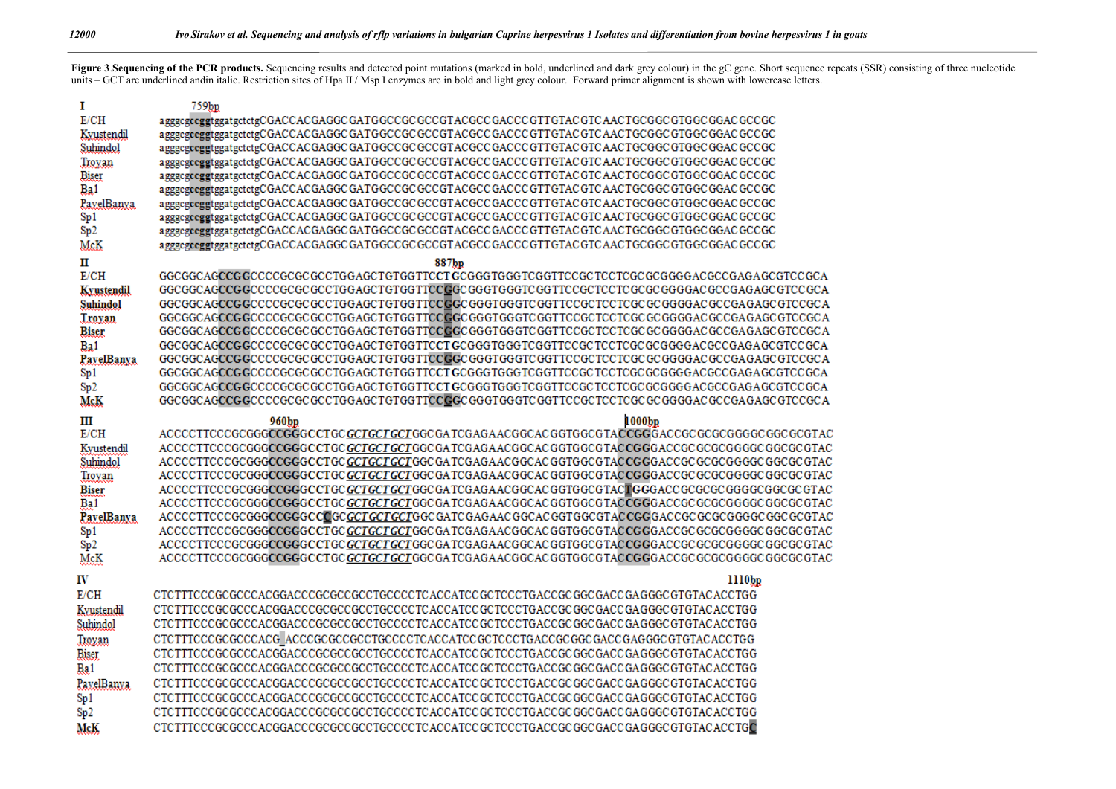Figure 3.Sequencing of the PCR products. Sequencing results and detected point mutations (marked in bold, underlined and dark grey colour) in the gC gene. Short sequence repeats (SSR) consisting of three nucleotide units – GCT are underlined andin italic. Restriction sites of Hpa II / Msp I enzymes are in bold and light grey colour. Forward primer alignment is shown with lowercase letters.

| 1                      | 759bp                                                                                                                                                                        |
|------------------------|------------------------------------------------------------------------------------------------------------------------------------------------------------------------------|
| E/CH                   | agggcgccggtggatgctctgCGACCACGAGGCGATGGCCGCGCGTACGCCGACCCGTTGTACGTCAACTGCGGCGTGGCGGACGCCGC                                                                                    |
| Kyustendil             | agggcgccggtggatgctctgCGACCACGAGGCGATGGCCGCGCGTACGCCGACCCGTTGTACGTCAACTGCGGCGTGGCGGACGCCGC                                                                                    |
| Suhindol               | agggcgccggtggatgctctgCGACCACGAGGCGATGGCCGCGCGTACGCCGACCCGTTGTACGTCAACTGCGGCGTGGCGGACGCCGC                                                                                    |
| Troyan                 | agggcgccggtggatgctctgCGACCACGAGGCGATGGCCGCGCGTACGCCGACCCGTTGTACGTCAACTGCGGCGTGGCGGACGCCGC                                                                                    |
| Biser                  | agggcgccggtggatgctctgCGACCACGAGGCGATGGCCGCGCGTACGCCGACCCGTTGTACGTCAACTGCGGCGTGGCGGACGCCGC                                                                                    |
| Ba 1                   | agggcgccggtggatgctctgCGACCACGAGGCGATGGCCGCGCGTACGCCGACCCGTTGTACGTCAACTGCGGCGTGGCGGACGCCGC                                                                                    |
| PayelBanya             | agggcgccggtggatgctctgCGACCACGAGGCGATGGCCGCGCGTACGCCGACCCGTTGTACGTCAACTGCGGCGTGGCGGACGCCGC                                                                                    |
| Sp1                    | agggcgccggtggatgctctgCGACCACGAGGCGATGGCCGCGCGTACGCCGACCCGTTGTACGTCAACTGCGGCGTGGCGGACGCCGC                                                                                    |
| Sp2                    | agggcgccggtggatgctctgCGACCACGAGGCGATGGCCGCGCGTACGCCGACCCGTTGTACGTCAACTGCGGCGTGGCGGACGCCGC                                                                                    |
| McK.                   | agggcgccggtggatgctctgCGACCACGAGGCGATGGCCGCGCGTACGCCGACCCGTTGTACGTCAACTGCGGCGTGGCGGACGCCGC                                                                                    |
| п                      | 887 <sub>bp</sub>                                                                                                                                                            |
| E/CH                   |                                                                                                                                                                              |
| Kyustendil             |                                                                                                                                                                              |
| Suhindol               |                                                                                                                                                                              |
| Troyan                 |                                                                                                                                                                              |
| Biser                  |                                                                                                                                                                              |
| Ba1                    |                                                                                                                                                                              |
| PayelBanya             |                                                                                                                                                                              |
| Sp1                    |                                                                                                                                                                              |
| Sp <sub>2</sub>        |                                                                                                                                                                              |
| McK                    |                                                                                                                                                                              |
|                        |                                                                                                                                                                              |
|                        |                                                                                                                                                                              |
| Ш<br>E/CH              | $1000$ bp<br>960 <sub>bp</sub>                                                                                                                                               |
|                        | ACCCCTTCCCGCGGGCCGGGCCTGC GCTGCTGCTGGCGATCGAGAACGGCACGGTGGCGTACCGGGACCGCGCGGGGGCGCGCGTAC                                                                                     |
| Kyustendil             | ACCCCTTCCCGCGGGCCGGGCCTGCGCTGCTGCTGGCGATCGAGAACGGCACGGTGGCGTACCGGGACCGCGCGGGGGCGGCGCGTAC                                                                                     |
| Suhindol               | ACCCCTTCCCGCGGGCCGGGCCTGCGCTGCTGCTGGCGATCGAGAACGGCACGGTGGCGTACCGGGACCGCGCGGGGCGGCGCGTAC                                                                                      |
| Troyan                 | ACCCCTTCCCGCGGGCCGGGCCTGCGCTGCTGCTGGCGATCGAGAACGGCACGGTGGCGTACCGGGACCGCGCGGGGCGGCGCGCGTAC                                                                                    |
| Biser<br>Ba1           | ACCCCTTCCCGCGGGCCGGGCCTGCGCTGCTGCTGGCGATCGAGAACGGCACGGTGGCGTACCGGGACCGCGCGGGGCGGCGCGCGTAC                                                                                    |
| PavelBanya             | ACCCCTTCCCGCGGGCCGGCCCGCCCCCTGCTGCTGGCGATCGAGAACGGCACGGTGGCGTACCGGGACCGCGCGGGGGCGGCGCGTAC                                                                                    |
|                        | ACCCCTTCCCGCGGGCCGGGCCTGCGCTGCTGCTGGCGATCGAGAACGGCACGGTGGCGTACCGGGACCGCGCGGGGCGGCGCGCGTAC                                                                                    |
| Sp1                    | ACCCCTTCCCGCGGGCCGGGCCTGCGCTGCTGCTGGCGATCGAGAACGGCACGGTGGCGTACCGGGACCGCGCGGGGCGGCGCGCGTAC                                                                                    |
| Sp <sub>2</sub><br>McK | ACCCCTTCCCGCGGGCCGGCCTGC GCTGCTGCTGGCGATCGAGAACGGCACGGTGGCGTACCGGGACCGCGCGGGGCGGCGCGCGTAC                                                                                    |
|                        |                                                                                                                                                                              |
| IV                     | 1110bp                                                                                                                                                                       |
| E/CH                   | CTCTTTCCCGCGCCCACGGACCCGCGCCGCCTGCCCCTCACCATCCGCTCCCTGACCGCGGCGACCGAGGGCGTGTACACCTGG                                                                                         |
| Kyustendil             | CTCTTTCCCGCGCCCACGGACCCGCGCCGCCTGCCCCTCACCATCCGCTCCCTGACCGCGGCGACCGAGGGCGTGTACACCTGG                                                                                         |
| Suhindol               | CTCTTTCCCGCGCCCACGGACCCGCGCCGCCTGCCCCTCACCATCCGCTCCCTGACCGCGGCGACCGAGGGCGTGTACACCTGG                                                                                         |
| Troyan                 | CTCTTTCCCGCGCCCACG_ACCCGCGCCGCCTGCCCCTCACCATCCGCTCCCTGACCGCGGCGACCGAGGGCGTGTACACCTGG                                                                                         |
| Biser                  | CTCTTTCCCGCGCCCACGGACCCGCGCCGCCTGCCCCTCACCATCCGCTCCCTGACCGCGGCGACCGAGGGCGTGTACACCTGG                                                                                         |
| Ba1                    | CTCTTTCCCGCGCCCACGGACCCGCGCCGCCTGCCCCTCACCATCCGCTCCCTGACCGCGGCGACCGAGGGCGTGTACACCTGG                                                                                         |
| <b>PayelBanya</b>      | CTCTTTCCCGCGCCCACGGACCCGCGCCGCCTGCCCCTCACCATCCGCTCCCTGACCGCGCGGCGACCGAGGGCGTGTACACCTGG                                                                                       |
| Sp1                    | CTCTTTCCCGCGCCCACGGACCCGCGCCGCCTGCCCCTCACCATCCGCTCCCTGACCGCGCGGCGACCGAGGGCGTGTACACCTGG                                                                                       |
| Sp2<br>McK             | CTCTTTCCCGCGCCCACGGACCCGCGCCGCCTGCCCCTCACCATCCGCTCCCTGACCGCGGCGACCGAGGGCGTGTACACCTGG<br>CTCTTTCCCGCGCCCACGGACCCGCGCCGCCTGCCCCTCACCATCCGCTCCCTGACCGCGGCGACCGAGGGCGTGTACACCTGC |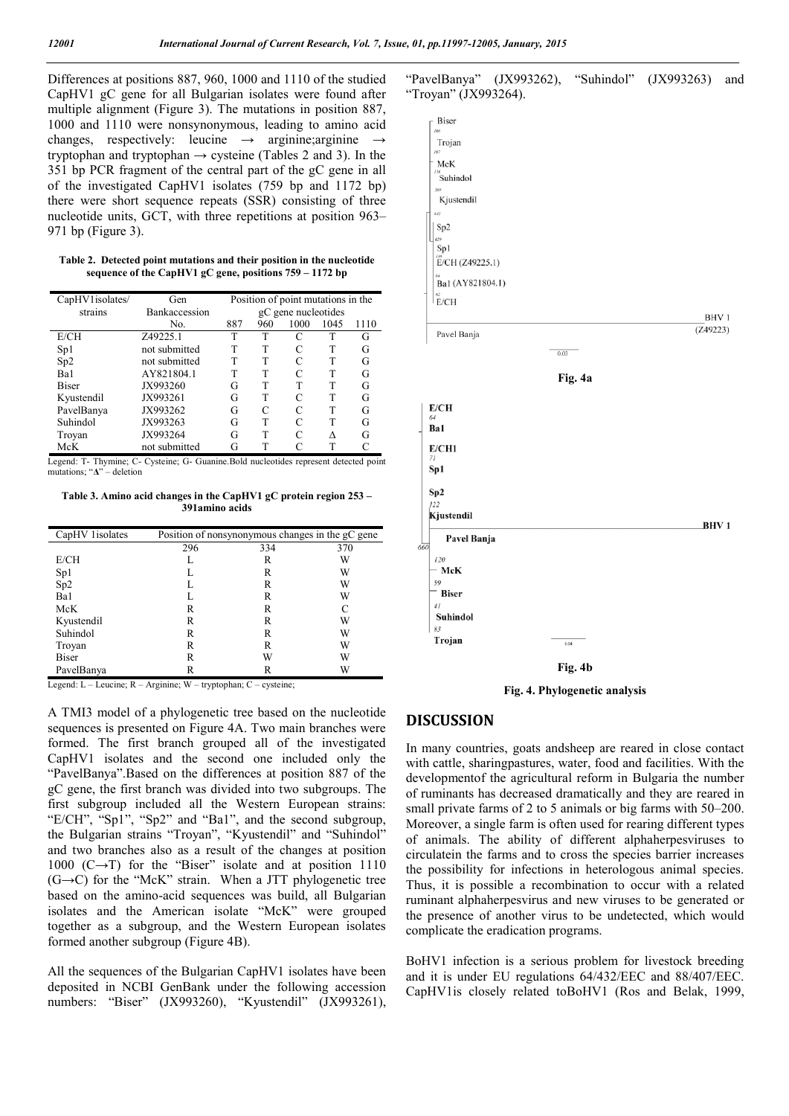Differences at positions 887, 960, 1000 and 1110 of the studied CapHV1 gC gene for all Bulgarian isolates were found after multiple alignment (Figure 3). The mutations in position 887, 1000 and 1110 were nonsynonymous, leading to amino acid changes, respectively: leucine  $\rightarrow$  arginine;arginine  $\rightarrow$ tryptophan and tryptophan  $\rightarrow$  cysteine (Tables 2 and 3). In the 351 bp PCR fragment of the central part of the gC gene in all of the investigated CapHV1 isolates (759 bp and 1172 bp) there were short sequence repeats (SSR) consisting of three nucleotide units, GCT, with three repetitions at position 963– 971 bp (Figure 3).

|  |                                                           |  | Table 2. Detected point mutations and their position in the nucleotide |
|--|-----------------------------------------------------------|--|------------------------------------------------------------------------|
|  | sequence of the CapHV1 gC gene, positions $759 - 1172$ bp |  |                                                                        |

| CapHV1isolates/ | Gen           | Position of point mutations in the |     |      |      |      |
|-----------------|---------------|------------------------------------|-----|------|------|------|
| strains         | Bankaccession | gC gene nucleotides                |     |      |      |      |
|                 | No.           | 887                                | 960 | 1000 | 1045 | 1110 |
| E/CH            | Z49225.1      | т                                  | т   | C    | т    | G    |
| Sp1             | not submitted |                                    | T   | C    |      | G    |
| Sp2             | not submitted | T                                  | т   | C    | T    | G    |
| Ba1             | AY821804.1    |                                    | T   | C    | T    | G    |
| <b>Biser</b>    | JX993260      | G                                  | T   | T    | т    | G    |
| Kyustendil      | JX993261      | G                                  | T   | C    |      | G    |
| PavelBanya      | JX993262      | G                                  | C   | C    | T    | G    |
| Suhindol        | JX993263      | G                                  | т   | C    | T    | G    |
| Trovan          | JX993264      | G                                  | т   | C    |      | G    |
| McK             | not submitted | G                                  | T   | C    |      |      |

Legend: T- Thymine; C- Cysteine; G- Guanine.Bold nucleotides represent detected point mutations; "**Δ**" – deletion

**Table 3. Amino acid changes in the CapHV1 gC protein region 253 – 391amino acids**

| CapHV lisolates | Position of nonsynonymous changes in the gC gene |     |     |  |  |
|-----------------|--------------------------------------------------|-----|-----|--|--|
|                 | 296                                              | 334 | 370 |  |  |
| E/CH            |                                                  | R   | W   |  |  |
| Sp1             |                                                  | R   | W   |  |  |
| Sp <sub>2</sub> |                                                  | R   | W   |  |  |
| Ba1             |                                                  | R   | W   |  |  |
| McK             | R                                                | R   |     |  |  |
| Kyustendil      | R                                                | R   | W   |  |  |
| Suhindol        | R                                                | R   | W   |  |  |
| Troyan          | R                                                | R   | W   |  |  |
| Biser           | R                                                | W   | W   |  |  |
| PavelBanya      | R                                                | R   | W   |  |  |

Legend: L – Leucine; R – Arginine; W – tryptophan; C – cysteine;

A TMI3 model of a phylogenetic tree based on the nucleotide sequences is presented on Figure 4A. Two main branches were formed. The first branch grouped all of the investigated CapHV1 isolates and the second one included only the "PavelBanya".Based on the differences at position 887 of the gC gene, the first branch was divided into two subgroups. The first subgroup included all the Western European strains: "E/CH", "Sp1", "Sp2" and "Ba1", and the second subgroup, the Bulgarian strains "Troyan", "Kyustendil" and "Suhindol" and two branches also as a result of the changes at position 1000 ( $C \rightarrow T$ ) for the "Biser" isolate and at position 1110  $(G \rightarrow C)$  for the "McK" strain. When a JTT phylogenetic tree based on the amino-acid sequences was build, all Bulgarian isolates and the American isolate "McK" were grouped together as a subgroup, and the Western European isolates formed another subgroup (Figure 4B).

All the sequences of the Bulgarian CapHV1 isolates have been deposited in NCBI GenBank under the following accession numbers: "Biser" (JX993260), "Kyustendil" (JX993261),





**Fig. 4. Phylogenetic analysis**

### **DISCUSSION**

In many countries, goats andsheep are reared in close contact with cattle, sharingpastures, water, food and facilities. With the developmentof the agricultural reform in Bulgaria the number of ruminants has decreased dramatically and they are reared in small private farms of 2 to 5 animals or big farms with 50–200. Moreover, a single farm is often used for rearing different types of animals. The ability of different alphaherpesviruses to circulatein the farms and to cross the species barrier increases the possibility for infections in heterologous animal species. Thus, it is possible a recombination to occur with a related ruminant alphaherpesvirus and new viruses to be generated or the presence of another virus to be undetected, which would complicate the eradication programs.

BoHV1 infection is a serious problem for livestock breeding and it is under EU regulations 64/432/EEC and 88/407/EEC. CapHV1is closely related toBoHV1 (Ros and Belak, 1999,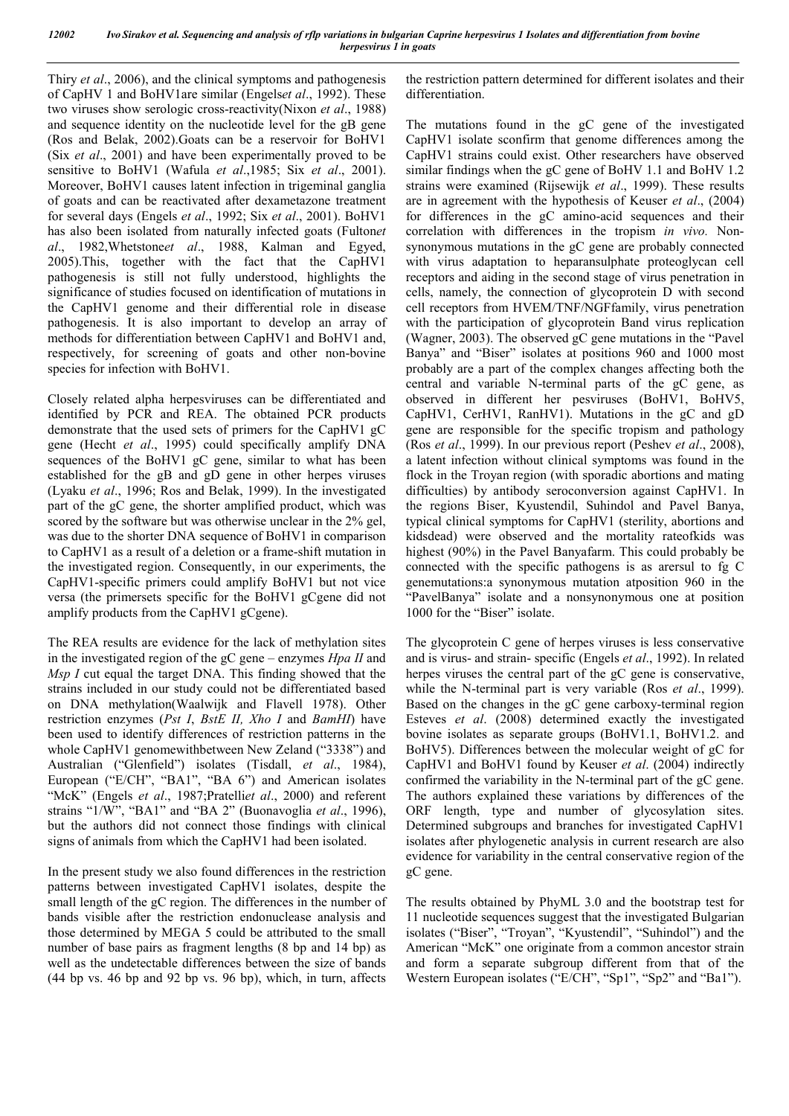Thiry *et al*., 2006), and the clinical symptoms and pathogenesis of CapHV 1 and BoHV1are similar (Engels*et al*., 1992). These two viruses show serologic cross-reactivity(Nixon *et al*., 1988) and sequence identity on the nucleotide level for the gB gene (Ros and Belak, 2002).Goats can be a reservoir for BoHV1 (Six *et al*., 2001) and have been experimentally proved to be sensitive to BoHV1 (Wafula *et al*.,1985; Six *et al*., 2001). Moreover, BoHV1 causes latent infection in trigeminal ganglia of goats and can be reactivated after dexametazone treatment for several days (Engels *et al*., 1992; Six *et al*., 2001). BoHV1 has also been isolated from naturally infected goats (Fulton*et al*., 1982,Whetstone*et al*., 1988, Kalman and Egyed, 2005).This, together with the fact that the CapHV1 pathogenesis is still not fully understood, highlights the significance of studies focused on identification of mutations in the CapHV1 genome and their differential role in disease pathogenesis. It is also important to develop an array of methods for differentiation between CapHV1 and BoHV1 and, respectively, for screening of goats and other non-bovine species for infection with BoHV1.

Closely related alpha herpesviruses can be differentiated and identified by PCR and REA. The obtained PCR products demonstrate that the used sets of primers for the CapHV1 gC gene (Hecht *et al*., 1995) could specifically amplify DNA sequences of the BoHV1 gC gene, similar to what has been established for the gB and gD gene in other herpes viruses (Lyaku *et al*., 1996; Ros and Belak, 1999). In the investigated part of the gC gene, the shorter amplified product, which was scored by the software but was otherwise unclear in the 2% gel, was due to the shorter DNA sequence of BoHV1 in comparison to CapHV1 as a result of a deletion or a frame-shift mutation in the investigated region. Consequently, in our experiments, the CapHV1-specific primers could amplify BoHV1 but not vice versa (the primersets specific for the BoHV1 gCgenе did not amplify products from the CapHV1 gCgene).

The REA results are evidence for the lack of methylation sites in the investigated region of the gC gene – enzymes *Hpa II* and *Msp I* cut equal the target DNA. This finding showed that the strains included in our study could not be differentiated based on DNA methylation(Waalwijk and Flavell 1978). Other restriction enzymes (*Pst I*, *BstE II, Xho I* and *BamHI*) have been used to identify differences of restriction patterns in the whole CapHV1 genomewithbetween New Zeland ("3338") and Australian ("Glenfield") isolates (Tisdall, *et al*., 1984), European ("E/CH", "BA1", "BA 6") and American isolates "McK" (Engels *et al*., 1987;Pratelli*et al*., 2000) and referent strains "1/W", "BA1" and "BA 2" (Buonavoglia *et al*., 1996), but the authors did not connect those findings with clinical signs of animals from which the CapHV1 had been isolated.

In the present study we also found differences in the restriction patterns between investigated CapHV1 isolates, despite the small length of the gC region. The differences in the number of bands visible after the restriction endonuclease analysis and those determined by MEGA 5 could be attributed to the small number of base pairs as fragment lengths (8 bp and 14 bp) as well as the undetectable differences between the size of bands (44 bp vs. 46 bp and 92 bp vs. 96 bp), which, in turn, affects

the restriction pattern determined for different isolates and their differentiation.

The mutations found in the gC gene of the investigated CapHV1 isolate sconfirm that genome differences among the CapHV1 strains could exist. Other researchers have observed similar findings when the gC gene of BoHV 1.1 and BoHV 1.2 strains were examined (Rijsewijk *et al*., 1999). These results are in agreement with the hypothesis of Keuser *et al*., (2004) for differences in the gC amino-acid sequences and their correlation with differences in the tropism *in vivo.* Nonsynonymous mutations in the gC gene are probably connected with virus adaptation to heparansulphate proteoglycan cell receptors and aiding in the second stage of virus penetration in cells, namely, the connection of glycoprotein D with second cell receptors from HVEM/TNF/NGFfamily, virus penetration with the participation of glycoprotein Band virus replication (Wagner, 2003). The observed gC gene mutations in the "Pavel Banya" and "Biser" isolates at positions 960 and 1000 most probably are a part of the complex changes affecting both the central and variable N-terminal parts of the gC gene, as observed in different her pesviruses (BoHV1, BoHV5, CapHV1, CerHV1, RanHV1). Mutations in the gC and gD gene are responsible for the specific tropism and pathology (Ros *et al*., 1999). In our previous report (Peshev *et al*., 2008), a latent infection without clinical symptoms was found in the flock in the Troyan region (with sporadic abortions and mating difficulties) by antibody seroconversion against CapHV1. In the regions Biser, Kyustendil, Suhindol and Pavel Banya, typical clinical symptoms for CapHV1 (sterility, abortions and kidsdead) were observed and the mortality rateofkids was highest (90%) in the Pavel Banyafarm. This could probably be connected with the specific pathogens is as arersul to fg C genemutations:a synonymous mutation atposition 960 in the "PavelBanya" isolate and a nonsynonymous one at position 1000 for the "Biser" isolate.

The glycoprotein C gene of herpes viruses is less conservative and is virus- and strain- specific (Engels *et al*., 1992). In related herpes viruses the central part of the gC gene is conservative, while the N-terminal part is very variable (Ros *et al*., 1999). Based on the changes in the gC gene carboxy-terminal region Esteves *et al*. (2008) determined exactly the investigated bovine isolates as separate groups (BoHV1.1, BoHV1.2. and BoHV5). Differences between the molecular weight of gC for CapHV1 and BoHV1 found by Keuser *et al*. (2004) indirectly confirmed the variability in the N-terminal part of the gC gene. The authors explained these variations by differences of the ORF length, type and number of glycosylation sites. Determined subgroups and branches for investigated CapHV1 isolates after phylogenetic analysis in current research are also evidence for variability in the central conservative region of the gC gene.

The results obtained by PhyML 3.0 and the bootstrap test for 11 nucleotide sequences suggest that the investigated Bulgarian isolates ("Biser", "Troyan", "Kyustendil", "Suhindol") and the American "McK" one originate from a common ancestor strain and form a separate subgroup different from that of the Western European isolates ("E/CH", "Sp1", "Sp2" and "Ba1").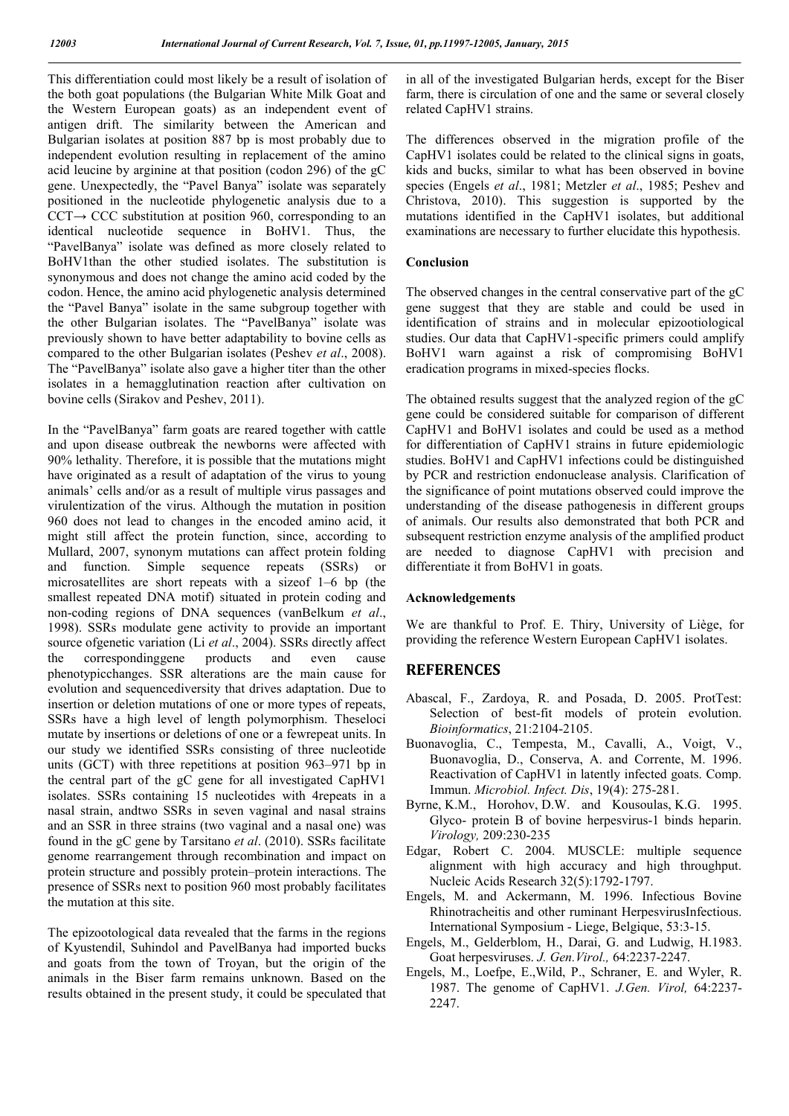This differentiation could most likely be a result of isolation of the both goat populations (the Bulgarian White Milk Goat and the Western European goats) as an independent event of antigen drift. The similarity between the American and Bulgarian isolates at position 887 bp is most probably due to independent evolution resulting in replacement of the amino acid leucine by arginine at that position (codon 296) of the gC gene. Unexpectedly, the "Pavel Banya" isolate was separately positioned in the nucleotide phylogenetic analysis due to a CCT**→** CCC substitution at position 960, corresponding to an identical nucleotide sequence in BoHV1. Thus, the "PavelBanya" isolate was defined as more closely related to BoHV1than the other studied isolates. The substitution is synonymous and does not change the amino acid coded by the codon. Hence, the amino acid phylogenetic analysis determined the "Pavel Banya" isolate in the same subgroup together with the other Bulgarian isolates. The "PavelBanya" isolate was previously shown to have better adaptability to bovine cells as compared to the other Bulgarian isolates (Peshev *et al*., 2008). The "PavelBanya" isolate also gave a higher titer than the other isolates in a hemagglutination reaction after cultivation on bovine cells (Sirakov and Peshev, 2011).

In the "PavelBanya" farm goats are reared together with cattle and upon disease outbreak the newborns were affected with 90% lethality. Therefore, it is possible that the mutations might have originated as a result of adaptation of the virus to young animals' cells and/or as a result of multiple virus passages and virulentization of the virus. Although the mutation in position 960 does not lead to changes in the encoded amino acid, it might still affect the protein function, since, according to Mullard, 2007, synonym mutations can affect protein folding and function. Simple sequence repeats (SSRs) or microsatellites are short repeats with a sizeof 1–6 bp (the smallest repeated DNA motif) situated in protein coding and non-coding regions of DNA sequences (vanBelkum *et al*., 1998). SSRs modulate gene activity to provide an important source ofgenetic variation (Li *et al*., 2004). SSRs directly affect the correspondinggene products and even cause phenotypicchanges. SSR alterations are the main cause for evolution and sequencediversity that drives adaptation. Due to insertion or deletion mutations of one or more types of repeats, SSRs have a high level of length polymorphism. Theseloci mutate by insertions or deletions of one or a fewrepeat units. In our study we identified SSRs consisting of three nucleotide units (GCT) with three repetitions at position 963–971 bp in the central part of the gC gene for all investigated CapHV1 isolates. SSRs containing 15 nucleotides with 4repeats in a nasal strain, andtwo SSRs in seven vaginal and nasal strains and an SSR in three strains (two vaginal and a nasal one) was found in the gC gene by Tarsitano *et al*. (2010). SSRs facilitate genome rearrangement through recombination and impact on protein structure and possibly protein–protein interactions. The presence of SSRs next to position 960 most probably facilitates the mutation at this site.

The epizootological data revealed that the farms in the regions of Kyustendil, Suhindol and PavelBanya had imported bucks and goats from the town of Troyan, but the origin of the animals in the Biser farm remains unknown. Based on the results obtained in the present study, it could be speculated that

in all of the investigated Bulgarian herds, except for the Biser farm, there is circulation of one and the same or several closely related CapHV1 strains.

The differences observed in the migration profile of the CapHV1 isolates could be related to the clinical signs in goats, kids and bucks, similar to what has been observed in bovine species (Engels *et al*., 1981; Metzler *et al*., 1985; Peshev and Christova, 2010). This suggestion is supported by the mutations identified in the CapHV1 isolates, but additional examinations are necessary to further elucidate this hypothesis.

#### **Conclusion**

The observed changes in the central conservative part of the gC gene suggest that they are stable and could be used in identification of strains and in molecular epizootiological studies. Our data that CapHV1-specific primers could amplify BoHV1 warn against a risk of compromising BoHV1 eradication programs in mixed-species flocks.

The obtained results suggest that the analyzed region of the gC gene could be considered suitable for comparison of different CapHV1 and BoHV1 isolates and could be used as a method for differentiation of CapHV1 strains in future epidemiologic studies. BoHV1 and CapHV1 infections could be distinguished by PCR and restriction endonuclease analysis. Clarification of the significance of point mutations observed could improve the understanding of the disease pathogenesis in different groups of animals. Our results also demonstrated that both PCR and subsequent restriction enzyme analysis of the amplified product are needed to diagnose CapHV1 with precision and differentiate it from BoHV1 in goats.

#### **Acknowledgements**

We are thankful to Prof. E. Thiry, University of Liège, for providing the reference Western European CapHV1 isolates.

### **REFERENCES**

- Abascal, F., Zardoya, R. and Posada, D. 2005. ProtTest: Selection of best-fit models of protein evolution. *Bioinformatics*, 21:2104-2105.
- Buonavoglia, C., Tempesta, M., Cavalli, A., Voigt, V., Buonavoglia, D., Conserva, A. and Corrente, M. 1996. Reactivation of CapHV1 in latently infected goats. Comp. Immun. *Microbiol. Infect. Dis*, 19(4): 275-281.
- Byrne, K.M., Horohov, D.W. and Kousoulas, K.G. 1995. Glyco- protein B of bovine herpesvirus-1 binds heparin. *Virology,* 209:230-235
- Edgar, Robert C. 2004. MUSCLE: multiple sequence alignment with high accuracy and high throughput. Nucleic Acids Research 32(5):1792-1797.
- Engels, M. and Ackermann, M. 1996. Infectious Bovine Rhinotracheitis and other ruminant HerpesvirusInfectious. International Symposium - Liege, Belgique, 53:3-15.
- Engels, M., Gelderblom, H., Darai, G. and Ludwig, H.1983. Goat herpesviruses. *J. Gen.Virol.,* 64:2237-2247.
- Engels, M., Loefpe, E.,Wild, P., Schraner, E. and Wyler, R. 1987. The genome of CapHV1. *J.Gen. Virol,* 64:2237- 2247.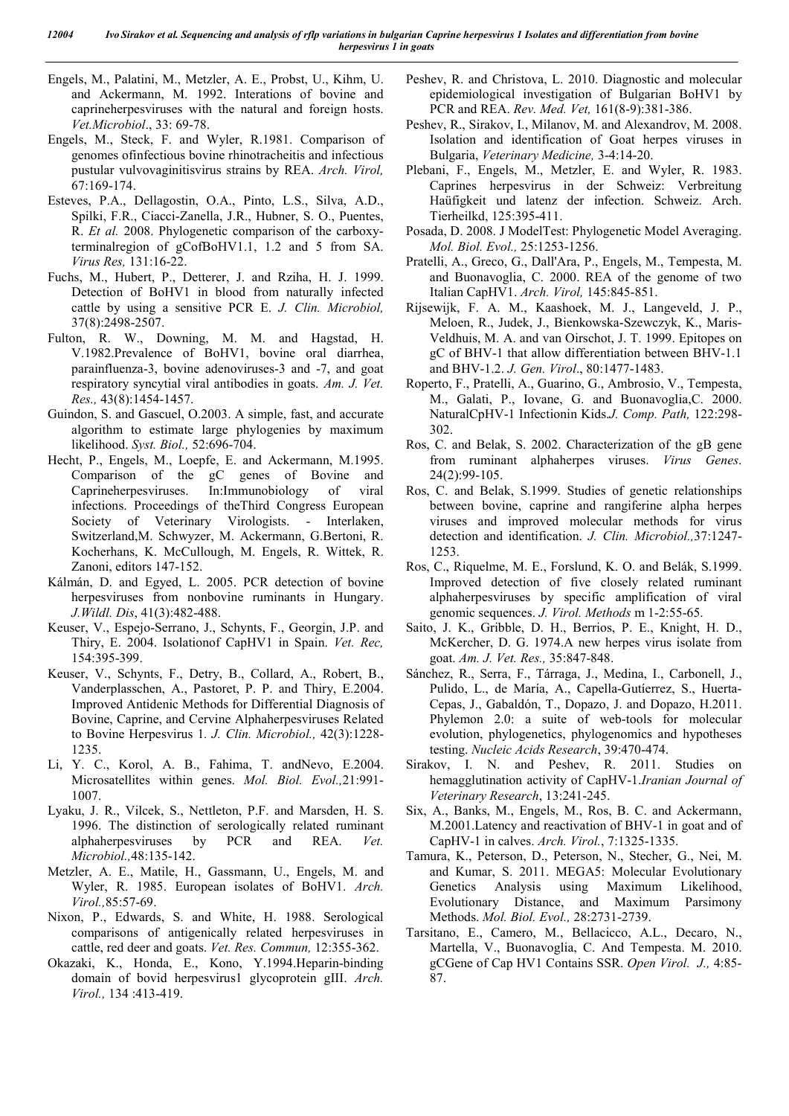- Engels, M., Palatini, M., Metzler, A. E., Probst, U., Kihm, U. and Ackermann, M. 1992. Interations of bovine and caprineherpesviruses with the natural and foreign hosts. *Vet.Microbiol*., 33: 69-78.
- Engels, M., Steck, F. and Wyler, R.1981. Comparison of genomes ofinfectious bovine rhinotracheitis and infectious pustular vulvovaginitisvirus strains by REA. *Arch. Virol,* 67:169-174.
- Esteves, P.A., Dellagostin, O.A., Pinto, L.S., Silva, A.D., Spilki, F.R., Ciacci-Zanella, J.R., Hubner, S. O., Puentes, R. *Et al.* 2008. Phylogenetic comparison of the carboxyterminalregion of gCofBoHV1.1, 1.2 and 5 from SA. *Virus Res,* 131:16-22.
- Fuchs, M., Hubert, P., Detterer, J. and Rziha, H. J. 1999. Detection of BoHV1 in blood from naturally infected cattle by using a sensitive PCR E. *J. Clin. Microbiol,*  37(8):2498-2507.
- Fulton, R. W., Downing, M. M. and Hagstad, H. V.1982.Prevalence of BoHV1, bovine oral diarrhea, parainfluenza-3, bovine adenoviruses-3 and -7, and goat respiratory syncytial viral antibodies in goats. *Am. J. Vet. Res.,* 43(8):1454-1457.
- Guindon, S. and Gascuel, O.2003. A simple, fast, and accurate algorithm to estimate large phylogenies by maximum likelihood. *Syst. Biol.,* 52:696-704.
- Hecht, P., Engels, M., Loepfe, E. and Ackermann, M.1995. Comparison of the gC genes of Bovine and Caprineherpesviruses. In:Immunobiology of viral infections. Proceedings of theThird Congress European Society of Veterinary Virologists. - Interlaken, Switzerland,M. Schwyzer, M. Ackermann, G.Bertoni, R. Kocherhans, K. McCullough, M. Engels, R. Wittek, R. Zanoni, editors 147-152.
- Kálmán, D. and Egyed, L. 2005. PCR detection of bovine herpesviruses from nonbovine ruminants in Hungary. *J.Wildl. Dis*, 41(3):482-488.
- Keuser, V., Espejo-Serrano, J., Schynts, F., Georgin, J.P. and Thiry, E. 2004. Isolationof CapHV1 in Spain. *Vet. Rec,* 154:395-399.
- Keuser, V., Schynts, F., Detry, B., Collard, A., Robert, B., Vanderplasschen, A., Pastoret, P. P. and Thiry, E.2004. Improved Antidenic Methods for Differential Diagnosis of Bovine, Caprine, and Cervine Alphaherpesviruses Related to Bovine Herpesvirus 1*. J. Clin. Microbiol.,* 42(3):1228- 1235.
- Li, Y. C., Korol, A. B., Fahima, T. andNevo, E.2004. Microsatellites within genes. *Mol. Biol. Evol.,*21:991- 1007.
- Lyaku, J. R., Vilcek, S., Nettleton, P.F. and Marsden, H. S. 1996. The distinction of serologically related ruminant alphaherpesviruses by PCR and REA. *Vet. Microbiol.,*48:135-142.
- Metzler, A. E., Matile, H., Gassmann, U., Engels, M. and Wyler, R. 1985. European isolates of BoHV1. *Arch. Virol.,*85:57-69.
- Nixon, P., Edwards, S. and White, H. 1988. Serological comparisons of antigenically related herpesviruses in cattle, red deer and goats. *Vet. Res. Commun,* 12:355-362.
- Okazaki, K., Honda, E., Kono, Y.1994.Heparin-binding domain of bovid herpesvirus1 glycoprotein gIII. *Arch. Virol.,* 134 :413-419.
- Peshev, R. and Christova, L. 2010. Diagnostic and molecular epidemiological investigation of Bulgarian BoHV1 by PCR and REA. *Rev. Med. Vet,* 161(8-9):381-386.
- Peshev, R., Sirakov, I., Milanov, M. and Alexandrov, M. 2008. Isolation and identification of Goat herpes viruses in Bulgaria, *Veterinary Medicine,* 3-4:14-20.
- Plebani, F., Engels, M., Metzler, E. and Wyler, R. 1983. Caprines herpesvirus in der Schweiz: Verbreitung Haüfigkeit und latenz der infection. Schweiz. Arch. Tierheilkd, 125:395-411.
- Posada, D. 2008. J ModelTest: Phylogenetic Model Averaging. *Mol. Biol. Evol.,* 25:1253-1256.
- Pratelli, A., Greco, G., Dall'Ara, P., Engels, M., Tempesta, M. and Buonavoglia, C. 2000. REA of the genome of two Italian CapHV1. *Arch. Virol,* 145:845-851.
- Rijsewijk, F. A. M., Kaashoek, M. J., Langeveld, J. P., Meloen, R., Judek, J., Bienkowska-Szewczyk, K., Maris-Veldhuis, M. A. and van Oirschot, J. T. 1999. Epitopes on gC of BHV-1 that allow differentiation between BHV-1.1 and BHV-1.2. *J. Gen. Virol*., 80:1477-1483.
- Roperto, F., Pratelli, A., Guarino, G., Ambrosio, V., Tempesta, M., Galati, P., Iovane, G. and Buonavoglia,C. 2000. NaturalCpHV-1 Infectionin Kids.*J. Comp. Path,* 122:298- 302.
- Ros, C. and Belak, S. 2002. Characterization of the gB gene from ruminant alphaherpes viruses. *Virus Genes*. 24(2):99-105.
- Ros, C. and Belak, S.1999. Studies of genetic relationships between bovine, caprine and rangiferine alpha herpes viruses and improved molecular methods for virus detection and identification. *J. Clin. Microbiol.,*37:1247- 1253.
- Ros, C., Riquelme, M. E., Forslund, K. O. and Belák, S.1999. Improved detection of five closely related ruminant alphaherpesviruses by specific amplification of viral genomic sequences. *J. Virol. Methods* m 1-2:55-65.
- Saito, J. K., Gribble, D. H., Berrios, P. E., Knight, H. D., McKercher, D. G. 1974.A new herpes virus isolate from goat. *Am. J. Vet. Res.,* 35:847-848.
- Sánchez, R., Serra, F., Tárraga, J., Medina, I., Carbonell, J., Pulido, L., de María, A., Capella-Gutíerrez, S., Huerta-Cepas, J., Gabaldón, T., Dopazo, J. and Dopazo, H.2011. Phylemon 2.0: a suite of web-tools for molecular evolution, phylogenetics, phylogenomics and hypotheses testing. *Nucleic Acids Research*, 39:470-474.
- Sirakov, I. N. and Peshev, R. 2011. Studies on hemagglutination activity of CapHV-1.*Iranian Journal of Veterinary Research*, 13:241-245.
- Six, A., Banks, M., Engels, M., Ros, B. C. and Ackermann, M.2001.Latency and reactivation of BHV-1 in goat and of CapHV-1 in calves. *Arch. Virol.*, 7:1325-1335.
- Tamura, K., Peterson, D., Peterson, N., Stecher, G., Nei, M. and Kumar, S. 2011. MEGA5: Molecular Evolutionary Genetics Analysis using Maximum Likelihood, Evolutionary Distance, and Maximum Parsimony Methods. *Mol. Biol. Evol.,* 28:2731-2739.
- Tarsitano, E., Camero, M., Bellacicco, A.L., Decaro, N., Martella, V., Buonavoglia, C. And Tempesta. M. 2010. gCGene of Cap HV1 Contains SSR. *Open Virol. J.,* 4:85- 87.